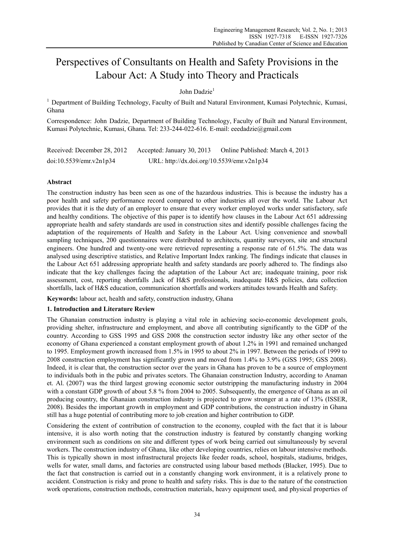# Perspectives of Consultants on Health and Safety Provisions in the Labour Act: A Study into Theory and Practicals

## John Dadzie<sup>1</sup>

<sup>1</sup> Department of Building Technology, Faculty of Built and Natural Environment, Kumasi Polytechnic, Kumasi, Ghana

Correspondence: John Dadzie, Department of Building Technology, Faculty of Built and Natural Environment, Kumasi Polytechnic, Kumasi, Ghana. Tel: 233-244-022-616. E-mail: eeedadzie@gmail.com

Received: December 28, 2012 Accepted: January 30, 2013 Online Published: March 4, 2013 doi:10.5539/emr.v2n1p34 URL: http://dx.doi.org/10.5539/emr.v2n1p34

## **Abstract**

The construction industry has been seen as one of the hazardous industries. This is because the industry has a poor health and safety performance record compared to other industries all over the world. The Labour Act provides that it is the duty of an employer to ensure that every worker employed works under satisfactory, safe and healthy conditions. The objective of this paper is to identify how clauses in the Labour Act 651 addressing appropriate health and safety standards are used in construction sites and identify possible challenges facing the adaptation of the requirements of Health and Safety in the Labour Act. Using convenience and snowball sampling techniques, 200 questionnaires were distributed to architects, quantity surveyors, site and structural engineers. One hundred and twenty-one were retrieved representing a response rate of 61.5%. The data was analysed using descriptive statistics, and Relative Important Index ranking. The findings indicate that clauses in the Labour Act 651 addressing appropriate health and safety standards are poorly adhered to. The findings also indicate that the key challenges facing the adaptation of the Labour Act are; inadequate training, poor risk assessment, cost, reporting shortfalls ,lack of H&S professionals, inadequate H&S policies, data collection shortfalls, lack of H&S education, communication shortfalls and workers attitudes towards Health and Safety.

**Keywords:** labour act, health and safety, construction industry, Ghana

#### **1. Introduction and Literature Review**

The Ghanaian construction industry is playing a vital role in achieving socio-economic development goals, providing shelter, infrastructure and employment, and above all contributing significantly to the GDP of the country. According to GSS 1995 and GSS 2008 the construction sector industry like any other sector of the economy of Ghana experienced a constant employment growth of about 1.2% in 1991 and remained unchanged to 1995. Employment growth increased from 1.5% in 1995 to about 2% in 1997. Between the periods of 1999 to 2008 construction employment has significantly grown and moved from 1.4% to 3.9% (GSS 1995; GSS 2008). Indeed, it is clear that, the construction sector over the years in Ghana has proven to be a source of employment to individuals both in the pubic and privates scetors. The Ghanaian construction Industry, according to Anaman et. Al. (2007) was the third largest growing economic sector outstripping the manufacturing industry in 2004 with a constant GDP growth of about 5.8 % from 2004 to 2005. Subsequently, the emergence of Ghana as an oil producing country, the Ghanaian construction industry is projected to grow stronger at a rate of 13% (ISSER, 2008). Besides the important growth in employment and GDP contributions, the construction industry in Ghana still has a huge potential of contributing more to job creation and higher contribution to GDP.

Considering the extent of contribution of construction to the economy, coupled with the fact that it is labour intensive, it is also worth noting that the construction industry is featured by constantly changing working environment such as conditions on site and different types of work being carried out simultaneously by several workers. The construction industry of Ghana, like other developing countries, relies on labour intensive methods. This is typically shown in most infrastructural projects like feeder roads, school, hospitals, stadiums, bridges, wells for water, small dams, and factories are constructed using labour based methods (Blacker, 1995). Due to the fact that construction is carried out in a constantly changing work environment, it is a relatively prone to accident. Construction is risky and prone to health and safety risks. This is due to the nature of the construction work operations, construction methods, construction materials, heavy equipment used, and physical properties of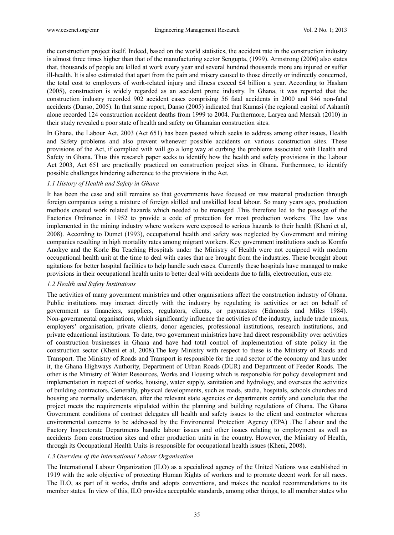the construction project itself. Indeed, based on the world statistics, the accident rate in the construction industry is almost three times higher than that of the manufacturing sector Sengupta, (1999). Armstrong (2006) also states that, thousands of people are killed at work every year and several hundred thousands more are injured or suffer ill-health. It is also estimated that apart from the pain and misery caused to those directly or indirectly concerned, the total cost to employers of work-related injury and illness exceed £4 billion a year. According to Haslam (2005), construction is widely regarded as an accident prone industry. In Ghana, it was reported that the construction industry recorded 902 accident cases comprising 56 fatal accidents in 2000 and 846 non-fatal accidents (Danso, 2005). In that same report, Danso (2005) indicated that Kumasi (the regional capital of Ashanti) alone recorded 124 construction accident deaths from 1999 to 2004. Furthermore, Laryea and Mensah (2010) in their study revealed a poor state of health and safety on Ghanaian construction sites.

In Ghana, the Labour Act, 2003 (Act 651) has been passed which seeks to address among other issues, Health and Safety problems and also prevent whenever possible accidents on various construction sites. These provisions of the Act, if complied with will go a long way at curbing the problems associated with Health and Safety in Ghana. Thus this research paper seeks to identify how the health and safety provisions in the Labour Act 2003, Act 651 are practically practiced on construction project sites in Ghana. Furthermore, to identify possible challenges hindering adherence to the provisions in the Act.

#### *1.1 History of Health and Safety in Ghana*

It has been the case and still remains so that governments have focused on raw material production through foreign companies using a mixture of foreign skilled and unskilled local labour. So many years ago, production methods created work related hazards which needed to be managed .This therefore led to the passage of the Factories Ordinance in 1952 to provide a code of protection for most production workers. The law was implemented in the mining industry where workers were exposed to serious hazards to their health (Kheni et al, 2008). According to Dumet (1993), occupational health and safety was neglected by Government and mining companies resulting in high mortality rates among migrant workers. Key government institutions such as Komfo Anokye and the Korle Bu Teaching Hospitals under the Ministry of Health were not equipped with modern occupational health unit at the time to deal with cases that are brought from the industries. These brought about agitations for better hospital facilities to help handle such cases. Currently these hospitals have managed to make provisions in their occupational health units to better deal with accidents due to falls, electrocution, cuts etc.

#### *1.2 Health and Safety Institutions*

The activities of many government ministries and other organisations affect the construction industry of Ghana. Public institutions may interact directly with the industry by regulating its activities or act on behalf of government as financiers, suppliers, regulators, clients, or paymasters (Edmonds and Miles 1984). Non-governmental organisations, which significantly influence the activities of the industry, include trade unions, employers' organisation, private clients, donor agencies, professional institutions, research institutions, and private educational institutions. To date, two government ministries have had direct responsibility over activities of construction businesses in Ghana and have had total control of implementation of state policy in the construction sector (Kheni et al, 2008).The key Ministry with respect to these is the Ministry of Roads and Transport. The Ministry of Roads and Transport is responsible for the road sector of the economy and has under it, the Ghana Highways Authority, Department of Urban Roads (DUR) and Department of Feeder Roads. The other is the Ministry of Water Resources, Works and Housing which is responsible for policy development and implementation in respect of works, housing, water supply, sanitation and hydrology, and oversees the activities of building contractors. Generally, physical developments, such as roads, stadia, hospitals, schools churches and housing are normally undertaken, after the relevant state agencies or departments certify and conclude that the project meets the requirements stipulated within the planning and building regulations of Ghana. The Ghana Government conditions of contract delegates all health and safety issues to the client and contractor whereas environmental concerns to be addressed by the Environental Protection Agency (EPA) .The Labour and the Factory Inspectorate Departments handle labour issues and other issues relating to employment as well as accidents from construction sites and other production units in the country. However, the Ministry of Health, through its Occupational Health Units is responsible for occupational health issues (Kheni, 2008).

#### *1.3 Overview of the International Labour Organisation*

The International Labour Organization (ILO) as a specialized agency of the United Nations was established in 1919 with the sole objective of protecting Human Rights of workers and to promote decent work for all races. The ILO, as part of it works, drafts and adopts conventions, and makes the needed recommendations to its member states. In view of this, ILO provides acceptable standards, among other things, to all member states who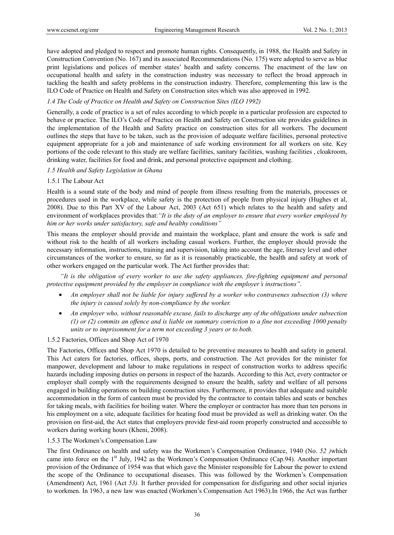have adopted and pledged to respect and promote human rights. Consequently, in 1988, the Health and Safety in Construction Convention (No. 167) and its associated Recommendations (No. 175) were adopted to serve as blue print legislations and polices of member states' health and safety concerns. The enactment of the law on occupational health and safety in the construction industry was necessary to reflect the broad approach in tackling the health and safety problems in the construction industry. Therefore, complementing this law is the ILO Code of Practice on Health and Safety on Construction sites which was also approved in 1992.

## *1.4 The Code of Practice on Health and Safety on Construction Sites (ILO 1992)*

Generally, a code of practice is a set of rules according to which people in a particular profession are expected to behave or practice. The ILO's Code of Practice on Health and Safety on Construction site provides guidelines in the implementation of the Health and Safety practice on construction sites for all workers. The document outlines the steps that have to be taken, such as the provision of adequate welfare facilities, personal protective equipment appropriate for a job and maintenance of safe working environment for all workers on site. Key portions of the code relevant to this study are welfare facilities, sanitary facilities, washing facilities , cloakroom, drinking water, facilities for food and drink, and personal protective equipment and clothing.

#### *1.5 Health and Safety Legislation in Ghana*

#### 1.5.1 The Labour Act

Health is a sound state of the body and mind of people from illness resulting from the materials, processes or procedures used in the workplace, while safety is the protection of people from physical injury (Hughes et al, 2008). Due to this Part XV of the Labour Act, 2003 (Act 651) which relates to the health and safety and environment of workplaces provides that:*"It is the duty of an employer to ensure that every worker employed by him or her works under satisfactory, safe and healthy conditions"*

This means the employer should provide and maintain the workplace, plant and ensure the work is safe and without risk to the health of all workers including casual workers. Further, the employer should provide the necessary information, instructions, training and supervision, taking into account the age, literacy level and other circumstances of the worker to ensure, so far as it is reasonably practicable, the health and safety at work of other workers engaged on the particular work. The Act further provides that:

*"It is the obligation of every worker to use the safety appliances, fire-fighting equipment and personal protective equipment provided by the employer in compliance with the employer's instructions".* 

- *An employer shall not be liable for injury suffered by a worker who contravenes subsection (3) where the injury is caused solely by non-compliance by the worker.*
- *An employer who, without reasonable excuse, fails to discharge any of the obligations under subsection (1) or (2) commits an offence and is liable on summary conviction to a fine not exceeding 1000 penalty units or to imprisonment for a term not exceeding 3 years or to both.*

#### 1.5.2 Factories, Offices and Shop Act of 1970

The Factories, Offices and Shop Act 1970 is detailed to be preventive measures to health and safety in general. This Act caters for factories, offices, shops, ports, and construction. The Act provides for the minister for manpower, development and labour to make regulations in respect of construction works to address specific hazards including imposing duties on persons in respect of the hazards. According to this Act, every contractor or employer shall comply with the requirements designed to ensure the health, safety and welfare of all persons engaged in building operations on building construction sites. Furthermore, it provides that adequate and suitable accommodation in the form of canteen must be provided by the contractor to contain tables and seats or benches for taking meals, with facilities for boiling water. Where the employer or contractor has more than ten persons in his employment on a site, adequate facilities for heating food must be provided as well as drinking water. On the provision on first-aid, the Act states that employers provide first-aid room properly constructed and accessible to workers during working hours (Kheni, 2008).

#### 1.5.3 The Workmen's Compensation Law

The first Ordinance on health and safety was the Workmen's Compensation Ordinance, 1940 (No. *52 )*which came into force on the 1<sup>st</sup> July, 1942 as the Workmen's Compensation Ordinance (Cap.94). Another important provision of the Ordinance of 1954 was that which gave the Minister responsible for Labour the power to extend the scope of the Ordinance to occupational diseases. This was followed by the Workmen's Compensation (Amendment) Act, 1961 (Act *53).* It further provided for compensation for disfiguring and other social injuries to workmen. In 1963, a new law was enacted (Workmen's Compensation Act 1963).In 1966, the Act was further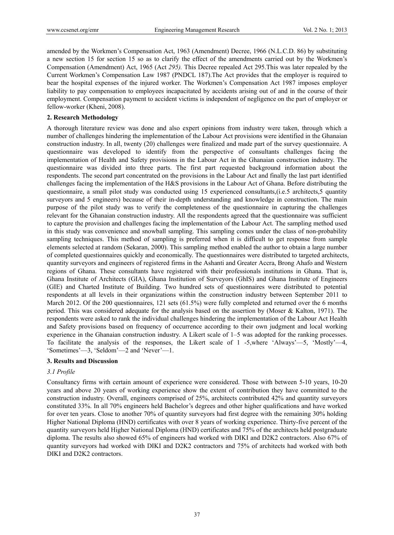amended by the Workmen's Compensation Act, 1963 (Amendment) Decree, 1966 (N.L.C.D. 86) by substituting a new section 15 for section 15 so as to clarify the effect of the amendments carried out by the Workmen's Compensation (Amendment) Act, 1965 (Act *295).* This Decree repealed Act 295.This was later repealed by the Current Workmen's Compensation Law 1987 (PNDCL 187).The Act provides that the employer is required to bear the hospital expenses of the injured worker. The Workmen's Compensation Act 1987 imposes employer liability to pay compensation to employees incapacitated by accidents arising out of and in the course of their employment. Compensation payment to accident victims is independent of negligence on the part of employer or fellow-worker (Kheni, 2008).

## **2. Research Methodology**

A thorough literature review was done and also expert opinions from industry were taken, through which a number of challenges hindering the implementation of the Labour Act provisions were identified in the Ghanaian construction industry. In all, twenty (20) challenges were finalized and made part of the survey questionnaire. A questionnaire was developed to identify from the perspective of consultants challenges facing the implementation of Health and Safety provisions in the Labour Act in the Ghanaian construction industry. The questionnaire was divided into three parts. The first part requested background information about the respondents. The second part concentrated on the provisions in the Labour Act and finally the last part identified challenges facing the implementation of the H&S provisions in the Labour Act of Ghana. Before distributing the questionnaire, a small pilot study was conducted using 15 experienced consultants,(i.e.5 architects,5 quantity surveyors and 5 engineers) because of their in-depth understanding and knowledge in construction. The main purpose of the pilot study was to verify the completeness of the questionnaire in capturing the challenges relevant for the Ghanaian construction industry. All the respondents agreed that the questionnaire was sufficient to capture the provision and challenges facing the implementation of the Labour Act. The sampling method used in this study was convenience and snowball sampling. This sampling comes under the class of non-probability sampling techniques. This method of sampling is preferred when it is difficult to get response from sample elements selected at random (Sekaran, 2000). This sampling method enabled the author to obtain a large number of completed questionnaires quickly and economically. The questionnaires were distributed to targeted architects, quantity surveyors and engineers of registered firms in the Ashanti and Greater Accra, Brong Ahafo and Western regions of Ghana. These consultants have registered with their professionals institutions in Ghana. That is, Ghana Institute of Architects (GIA), Ghana Institution of Surveyors (GhIS) and Ghana Institute of Engineers (GIE) and Charted Institute of Building. Two hundred sets of questionnaires were distributed to potential respondents at all levels in their organizations within the construction industry between September 2011 to March 2012. Of the 200 questionnaires, 121 sets (61.5%) were fully completed and returned over the 6 months period. This was considered adequate for the analysis based on the assertion by (Moser & Kalton, 1971). The respondents were asked to rank the individual challenges hindering the implementation of the Labour Act Health and Safety provisions based on frequency of occurrence according to their own judgment and local working experience in the Ghanaian construction industry. A Likert scale of 1–5 was adopted for the ranking processes. To facilitate the analysis of the responses, the Likert scale of 1 -5,where 'Always'—5, 'Mostly'—4, 'Sometimes'—3, 'Seldom'—2 and 'Never'—1.

#### **3. Results and Discussion**

#### *3.1 Profile*

Consultancy firms with certain amount of experience were considered. Those with between 5-10 years, 10-20 years and above 20 years of working experience show the extent of contribution they have committed to the construction industry. Overall, engineers comprised of 25%, architects contributed 42% and quantity surveyors constituted 33%. In all 70% engineers held Bachelor's degrees and other higher qualifications and have worked for over ten years. Close to another 70% of quantity surveyors had first degree with the remaining 30% holding Higher National Diploma (HND) certificates with over 8 years of working experience. Thirty-five percent of the quantity surveyors held Higher National Diploma (HND) certificates and 75% of the architects held postgraduate diploma. The results also showed 65% of engineers had worked with DIKI and D2K2 contractors. Also 67% of quantity surveyors had worked with DIKI and D2K2 contractors and 75% of architects had worked with both DIKI and D2K2 contractors.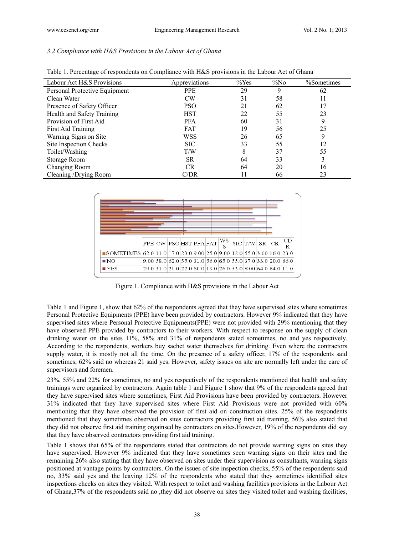#### *3.2 Compliance with H&S Provisions in the Labour Act of Ghana*

| Labour Act H&S Provisions     | Appreviations | $\%$ Yes | $\%$ No | %Sometimes |
|-------------------------------|---------------|----------|---------|------------|
| Personal Protective Equipment | <b>PPE</b>    | 29       |         | 62         |
| Clean Water                   | <b>CW</b>     | 31       | 58      | 11         |
| Presence of Safety Officer    | <b>PSO</b>    | 21       | 62      | 17         |
| Health and Safety Training    | <b>HST</b>    | 22       | 55      | 23         |
| Provision of First Aid        | <b>PFA</b>    | 60       | 31      | 9          |
| First Aid Training            | <b>FAT</b>    | 19       | 56      | 25         |
| Warning Signs on Site         | <b>WSS</b>    | 26       | 65      | 9          |
| Site Inspection Checks        | <b>SIC</b>    | 33       | 55      | 12         |
| Toilet/Washing                | T/W           | 8        | 37      | 55         |
| Storage Room                  | <b>SR</b>     | 64       | 33      | 3          |
| Changing Room                 | CR.           | 64       | 20      | 16         |
| Cleaning /Drying Room         | C/DR          | 11       | 66      | 23         |

Table 1. Percentage of respondents on Compliance with H&S provisions in the Labour Act of Ghana



Figure 1. Compliance with H&S provisions in the Labour Act

Table 1 and Figure 1, show that 62% of the respondents agreed that they have supervised sites where sometimes Personal Protective Equipments (PPE) have been provided by contractors. However 9% indicated that they have supervised sites where Personal Protective Equipments(PPE) were not provided with 29% mentioning that they have observed PPE provided by contractors to their workers. With respect to response on the supply of clean drinking water on the sites 11%, 58% and 31% of respondents stated sometimes, no and yes respectively. According to the respondents, workers buy sachet water themselves for drinking. Even where the contractors supply water, it is mostly not all the time. On the presence of a safety officer, 17% of the respondents said sometimes, 62% said no whereas 21 said yes. However, safety issues on site are normally left under the care of supervisors and foremen.

23%, 55% and 22% for sometimes, no and yes respectively of the respondents mentioned that health and safety trainings were organized by contractors. Again table 1 and Figure 1 show that 9% of the respondents agreed that they have supervised sites where sometimes, First Aid Provisions have been provided by contractors. However 31% indicated that they have supervised sites where First Aid Provisions were not provided with 60% mentioning that they have observed the provision of first aid on construction sites. 25% of the respondents mentioned that they sometimes observed on sites contractors providing first aid training, 56% also stated that they did not observe first aid training orgainsed by contractors on sites.However, 19% of the respondents did say that they have observed contractors providing first aid training.

Table 1 shows that 65% of the respondents stated that contractors do not provide warning signs on sites they have supervised. However 9% indicated that they have sometimes seen warning signs on their sites and the remaining 26% also stating that they have observed on sites under their supervision as consultants, warning signs positioned at vantage points by contractors. On the issues of site inspection checks, 55% of the respondents said no, 33% said yes and the leaving 12% of the respondents who stated that they sometimes identified sites inspections checks on sites they visited. With respect to toilet and washing facilities provisions in the Labour Act of Ghana,37% of the respondents said no ,they did not observe on sites they visited toilet and washing facilities,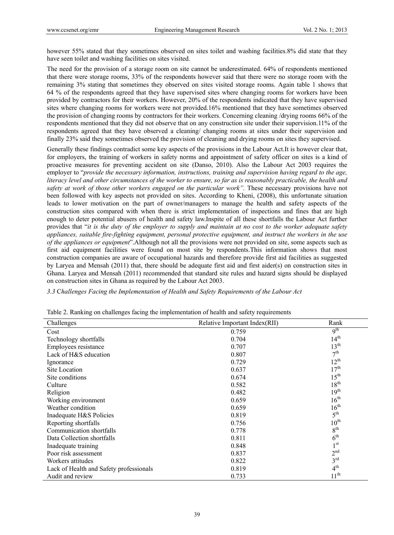however 55% stated that they sometimes observed on sites toilet and washing facilities.8% did state that they have seen toilet and washing facilities on sites visited.

The need for the provision of a storage room on site cannot be underestimated. 64% of respondents mentioned that there were storage rooms, 33% of the respondents however said that there were no storage room with the remaining 3% stating that sometimes they observed on sites visited storage rooms. Again table 1 shows that 64 % of the respondents agreed that they have supervised sites where changing rooms for workers have been provided by contractors for their workers. However, 20% of the respondents indicated that they have supervised sites where changing rooms for workers were not provided.16% mentioned that they have sometimes observed the provision of changing rooms by contractors for their workers. Concerning cleaning /drying rooms 66% of the respondents mentioned that they did not observe that on any construction site under their supervision.11% of the respondents agreed that they have observed a cleaning/ changing rooms at sites under their supervision and finally 23% said they sometimes observed the provision of cleaning and drying rooms on sites they supervised.

Generally these findings contradict some key aspects of the provisions in the Labour Act.It is however clear that, for employers, the training of workers in safety norms and appointment of safety officer on sites is a kind of proactive measures for preventing accident on site (Danso, 2010). Also the Labour Act 2003 requires the employer to "*provide the necessary information, instructions, training and supervision having regard to the age, literacy level and other circumstances of the worker to ensure, so far as is reasonably practicable, the health and*  safety at work of those other workers engaged on the particular work". These necessary provisions have not been followed with key aspects not provided on sites. According to Kheni, (2008), this unfortunate situation leads to lower motivation on the part of owner/managers to manage the health and safety aspects of the construction sites compared with when there is strict implementation of inspections and fines that are high enough to deter potential abusers of health and safety law.Inspite of all these shortfalls the Labour Act further provides that "*it is the duty of the employer to supply and maintain at no cost to the worker adequate safety appliances, suitable fire-fighting equipment, personal protective equipment, and instruct the workers in the use of the appliances or equipment*".Although not all the provisions were not provided on site, some aspects such as first aid equipment facilities were found on most site by respondents.This information shows that most construction companies are aware of occupational hazards and therefore provide first aid facilities as suggested by Laryea and Mensah (2011) that, there should be adequate first aid and first aider(s) on construction sites in Ghana. Laryea and Mensah (2011) recommended that standard site rules and hazard signs should be displayed on construction sites in Ghana as required by the Labour Act 2003.

*3.3* C*hallenges Facing the Implementation of Health and Safety Requirements of the Labour Act*

| Challenges                              | Relative Important Index(RII) | Rank             |
|-----------------------------------------|-------------------------------|------------------|
| Cost                                    | 0.759                         | 9 <sup>th</sup>  |
| Technology shortfalls                   | 0.704                         | 14 <sup>th</sup> |
| Employees resistance                    | 0.707                         | 13 <sup>th</sup> |
| Lack of H&S education                   | 0.807                         | 7 <sup>th</sup>  |
| Ignorance                               | 0.729                         | $12^{th}$        |
| Site Location                           | 0.637                         | 17 <sup>th</sup> |
| Site conditions                         | 0.674                         | $15^{\text{th}}$ |
| Culture                                 | 0.582                         | 18 <sup>th</sup> |
| Religion                                | 0.482                         | 19 <sup>th</sup> |
| Working environment                     | 0.659                         | $16^{\text{th}}$ |
| Weather condition                       | 0.659                         | $16^{\text{th}}$ |
| Inadequate H&S Policies                 | 0.819                         | $5^{\text{th}}$  |
| Reporting shortfalls                    | 0.756                         | $10^{\text{th}}$ |
| Communication shortfalls                | 0.778                         | 8 <sup>th</sup>  |
| Data Collection shortfalls              | 0.811                         | $6^{\text{th}}$  |
| Inadequate training                     | 0.848                         | 1 <sup>st</sup>  |
| Poor risk assessment                    | 0.837                         | 2 <sup>nd</sup>  |
| Workers attitudes                       | 0.822                         | 3 <sup>rd</sup>  |
| Lack of Health and Safety professionals | 0.819                         | $4^{\text{th}}$  |
| Audit and review                        | 0.733                         | $11^{th}$        |

|  | Table 2. Ranking on challenges facing the implementation of health and safety requirements |  |  |  |  |  |  |
|--|--------------------------------------------------------------------------------------------|--|--|--|--|--|--|
|--|--------------------------------------------------------------------------------------------|--|--|--|--|--|--|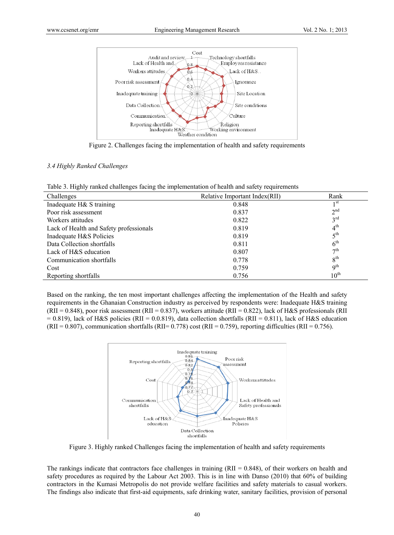

Figure 2. Challenges facing the implementation of health and safety requirements

### *3.4 Highly Ranked Challenges*

Table 3. Highly ranked challenges facing the implementation of health and safety requirements

| Challenges                              | Relative Important Index(RII) | Rank             |
|-----------------------------------------|-------------------------------|------------------|
| Inadequate H& S training                | 0.848                         | 1 <sup>st</sup>  |
| Poor risk assessment                    | 0.837                         | 2 <sup>nd</sup>  |
| Workers attitudes                       | 0.822                         | $3^{\text{rd}}$  |
| Lack of Health and Safety professionals | 0.819                         | $4^{\text{th}}$  |
| Inadequate H&S Policies                 | 0.819                         | 5 <sup>th</sup>  |
| Data Collection shortfalls              | 0.811                         | $6^{\text{th}}$  |
| Lack of H&S education                   | 0.807                         | 7 <sup>th</sup>  |
| Communication shortfalls                | 0.778                         | 8 <sup>th</sup>  |
| Cost                                    | 0.759                         | 9 <sup>th</sup>  |
| Reporting shortfalls                    | 0.756                         | $10^{\text{th}}$ |

Based on the ranking, the ten most important challenges affecting the implementation of the Health and safety requirements in the Ghanaian Construction industry as perceived by respondents were: Inadequate H&S training (RII = 0.848), poor risk assessment (RII = 0.837), workers attitude (RII = 0.822), lack of H&S professionals (RII  $= 0.819$ ), lack of H&S policies (RII = 0.0.819), data collection shortfalls (RII = 0.811), lack of H&S education  $(RII = 0.807)$ , communication shortfalls  $(RII = 0.778)$  cost  $(RII = 0.759)$ , reporting difficulties  $(RII = 0.756)$ .



Figure 3. Highly ranked Challenges facing the implementation of health and safety requirements

The rankings indicate that contractors face challenges in training  $(RII = 0.848)$ , of their workers on health and safety procedures as required by the Labour Act 2003. This is in line with Danso (2010) that 60% of building contractors in the Kumasi Metropolis do not provide welfare facilities and safety materials to casual workers. The findings also indicate that first-aid equipments, safe drinking water, sanitary facilities, provision of personal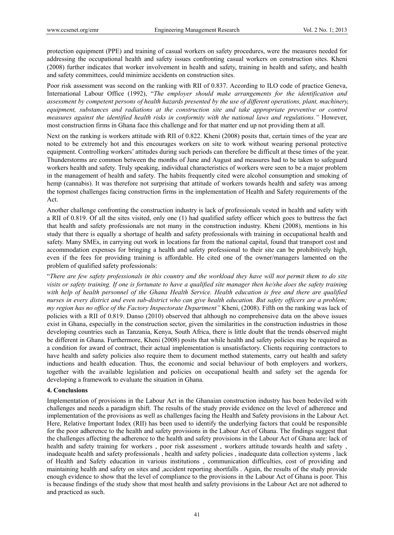protection equipment (PPE) and training of casual workers on safety procedures, were the measures needed for addressing the occupational health and safety issues confronting casual workers on construction sites. Kheni (2008) further indicates that worker involvement in health and safety, training in health and safety, and health and safety committees, could minimize accidents on construction sites.

Poor risk assessment was second on the ranking with RII of 0.837. According to ILO code of practice Geneva, International Labour Office (1992), "*The employer should make arrangements for the identification and assessment by competent persons of health hazards presented by the use of different operations, plant, machinery, equipment, substances and radiations at the construction site and take appropriate preventive or control measures against the identified health risks in conformity with the national laws and regulations."* However, most construction firms in Ghana face this challenge and for that matter end up not providing them at all.

Next on the ranking is workers attitude with RII of 0.822. Kheni (2008) posits that, certain times of the year are noted to be extremely hot and this encourages workers on site to work without wearing personal protective equipment. Controlling workers' attitudes during such periods can therefore be difficult at these times of the year. Thunderstorms are common between the months of June and August and measures had to be taken to safeguard workers health and safety. Truly speaking, individual characteristics of workers were seen to be a major problem in the management of health and safety. The habits frequently cited were alcohol consumption and smoking of hemp (cannabis). It was therefore not surprising that attitude of workers towards health and safety was among the topmost challenges facing construction firms in the implementation of Health and Safety requirements of the Act.

Another challenge confronting the construction industry is lack of professionals vested in health and safety with a RII of 0.819. Of all the sites visited, only one (1) had qualified safety officer which goes to buttress the fact that health and safety professionals are not many in the construction industry. Kheni (2008), mentions in his study that there is equally a shortage of health and safety professionals with training in occupational health and safety. Many SMEs, in carrying out work in locations far from the national capital, found that transport cost and accommodation expenses for bringing a health and safety professional to their site can be prohibitively high, even if the fees for providing training is affordable. He cited one of the owner/managers lamented on the problem of qualified safety professionals:

"*There are few safety professionals in this country and the workload they have will not permit them to do site visits or safety training. If one is fortunate to have a qualified site manager then he/she does the safety training with help of health personnel of the Ghana Health Service. Health education is free and there are qualified nurses in every district and even sub-district who can give health education. But safety officers are a problem; my region has no office of the Factory Inspectorate Department"* Kheni, (2008). Fifth on the ranking was lack of policies with a RII of 0.819. Danso (2010) observed that although no comprehensive data on the above issues exist in Ghana, especially in the construction sector, given the similarities in the construction industries in those developing countries such as Tanzania, Kenya, South Africa, there is little doubt that the trends observed might be different in Ghana. Furthermore, Kheni (2008) posits that while health and safety policies may be required as a condition for award of contract, their actual implementation is unsatisfactory. Clients requiring contractors to have health and safety policies also require them to document method statements, carry out health and safety inductions and health education. Thus, the economic and social behaviour of both employers and workers, together with the available legislation and policies on occupational health and safety set the agenda for developing a framework to evaluate the situation in Ghana.

#### **4. Conclusions**

Implementation of provisions in the Labour Act in the Ghanaian construction industry has been bedeviled with challenges and needs a paradigm shift. The results of the study provide evidence on the level of adherence and implementation of the provisions as well as challenges facing the Health and Safety provisions in the Labour Act. Here, Relative Important Index (RII) has been used to identify the underlying factors that could be responsible for the poor adherence to the health and safety provisions in the Labour Act of Ghana. The findings suggest that the challenges affecting the adherence to the health and safety provisions in the Labour Act of Ghana are: lack of health and safety training for workers , poor risk assessment , workers attitude towards health and safety , inadequate health and safety professionals , health and safety policies , inadequate data collection systems , lack of Health and Safety education in various institutions , communication difficulties, cost of providing and maintaining health and safety on sites and ,accident reporting shortfalls . Again, the results of the study provide enough evidence to show that the level of compliance to the provisions in the Labour Act of Ghana is poor. This is because findings of the study show that most health and safety provisions in the Labour Act are not adhered to and practiced as such.